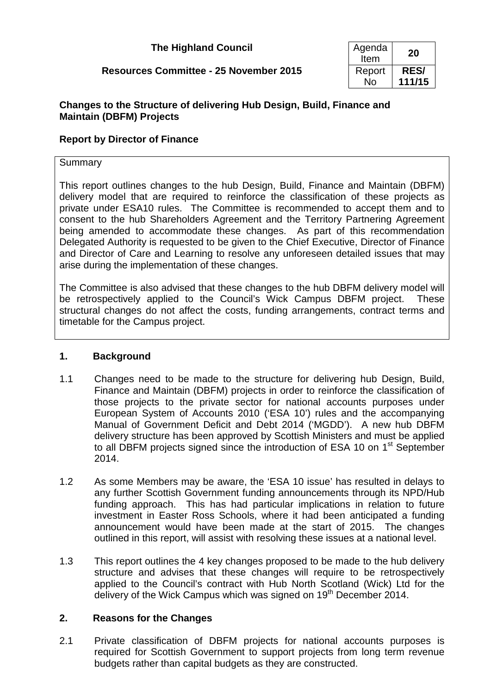| <b>The Highland Council</b> | Agenda |
|-----------------------------|--------|
|-----------------------------|--------|

# **Resources Committee - 25 November 2015**

| Agenda<br>Item | 20          |
|----------------|-------------|
| Report         | <b>RES/</b> |
| N٥             | 111/15      |

## **Changes to the Structure of delivering Hub Design, Build, Finance and Maintain (DBFM) Projects**

## **Report by Director of Finance**

#### Summary

This report outlines changes to the hub Design, Build, Finance and Maintain (DBFM) delivery model that are required to reinforce the classification of these projects as private under ESA10 rules. The Committee is recommended to accept them and to consent to the hub Shareholders Agreement and the Territory Partnering Agreement being amended to accommodate these changes. As part of this recommendation Delegated Authority is requested to be given to the Chief Executive, Director of Finance and Director of Care and Learning to resolve any unforeseen detailed issues that may arise during the implementation of these changes.

The Committee is also advised that these changes to the hub DBFM delivery model will be retrospectively applied to the Council's Wick Campus DBFM project. These structural changes do not affect the costs, funding arrangements, contract terms and timetable for the Campus project.

## **1. Background**

- 1.1 Changes need to be made to the structure for delivering hub Design, Build, Finance and Maintain (DBFM) projects in order to reinforce the classification of those projects to the private sector for national accounts purposes under European System of Accounts 2010 ('ESA 10') rules and the accompanying Manual of Government Deficit and Debt 2014 ('MGDD'). A new hub DBFM delivery structure has been approved by Scottish Ministers and must be applied to all DBFM projects signed since the introduction of ESA 10 on 1<sup>st</sup> September 2014.
- 1.2 As some Members may be aware, the 'ESA 10 issue' has resulted in delays to any further Scottish Government funding announcements through its NPD/Hub funding approach. This has had particular implications in relation to future investment in Easter Ross Schools, where it had been anticipated a funding announcement would have been made at the start of 2015. The changes outlined in this report, will assist with resolving these issues at a national level.
- 1.3 This report outlines the 4 key changes proposed to be made to the hub delivery structure and advises that these changes will require to be retrospectively applied to the Council's contract with Hub North Scotland (Wick) Ltd for the delivery of the Wick Campus which was signed on 19<sup>th</sup> December 2014.

## **2. Reasons for the Changes**

2.1 Private classification of DBFM projects for national accounts purposes is required for Scottish Government to support projects from long term revenue budgets rather than capital budgets as they are constructed.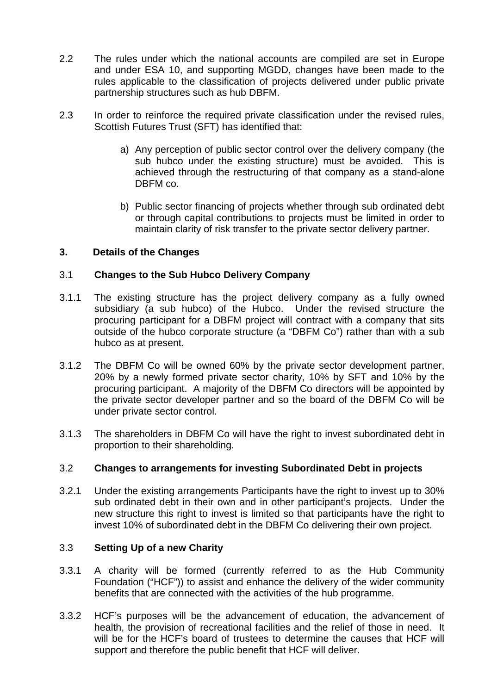- 2.2 The rules under which the national accounts are compiled are set in Europe and under ESA 10, and supporting MGDD, changes have been made to the rules applicable to the classification of projects delivered under public private partnership structures such as hub DBFM.
- 2.3 In order to reinforce the required private classification under the revised rules, Scottish Futures Trust (SFT) has identified that:
	- a) Any perception of public sector control over the delivery company (the sub hubco under the existing structure) must be avoided. This is achieved through the restructuring of that company as a stand-alone DBFM co.
	- b) Public sector financing of projects whether through sub ordinated debt or through capital contributions to projects must be limited in order to maintain clarity of risk transfer to the private sector delivery partner.

## **3. Details of the Changes**

## 3.1 **Changes to the Sub Hubco Delivery Company**

- 3.1.1 The existing structure has the project delivery company as a fully owned subsidiary (a sub hubco) of the Hubco. Under the revised structure the procuring participant for a DBFM project will contract with a company that sits outside of the hubco corporate structure (a "DBFM Co") rather than with a sub hubco as at present.
- 3.1.2 The DBFM Co will be owned 60% by the private sector development partner, 20% by a newly formed private sector charity, 10% by SFT and 10% by the procuring participant. A majority of the DBFM Co directors will be appointed by the private sector developer partner and so the board of the DBFM Co will be under private sector control.
- 3.1.3 The shareholders in DBFM Co will have the right to invest subordinated debt in proportion to their shareholding.

## 3.2 **Changes to arrangements for investing Subordinated Debt in projects**

3.2.1 Under the existing arrangements Participants have the right to invest up to 30% sub ordinated debt in their own and in other participant's projects. Under the new structure this right to invest is limited so that participants have the right to invest 10% of subordinated debt in the DBFM Co delivering their own project.

## 3.3 **Setting Up of a new Charity**

- 3.3.1 A charity will be formed (currently referred to as the Hub Community Foundation ("HCF")) to assist and enhance the delivery of the wider community benefits that are connected with the activities of the hub programme.
- 3.3.2 HCF's purposes will be the advancement of education, the advancement of health, the provision of recreational facilities and the relief of those in need. It will be for the HCF's board of trustees to determine the causes that HCF will support and therefore the public benefit that HCF will deliver.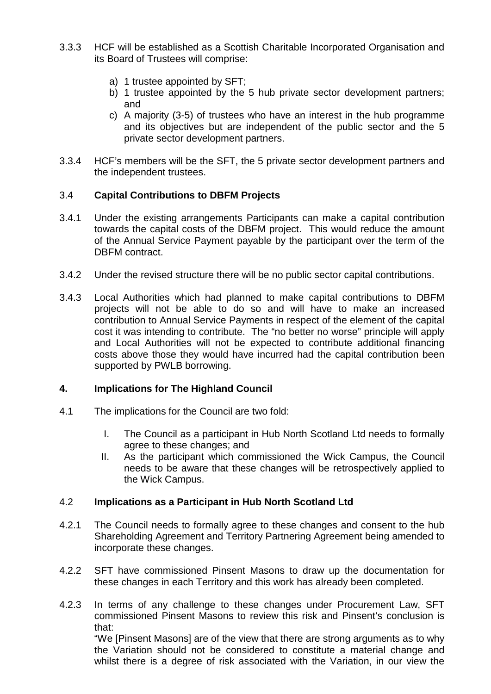- 3.3.3 HCF will be established as a Scottish Charitable Incorporated Organisation and its Board of Trustees will comprise:
	- a) 1 trustee appointed by SFT;
	- b) 1 trustee appointed by the 5 hub private sector development partners; and
	- c) A majority (3-5) of trustees who have an interest in the hub programme and its objectives but are independent of the public sector and the 5 private sector development partners.
- 3.3.4 HCF's members will be the SFT, the 5 private sector development partners and the independent trustees.

## 3.4 **Capital Contributions to DBFM Projects**

- 3.4.1 Under the existing arrangements Participants can make a capital contribution towards the capital costs of the DBFM project. This would reduce the amount of the Annual Service Payment payable by the participant over the term of the DBFM contract.
- 3.4.2 Under the revised structure there will be no public sector capital contributions.
- 3.4.3 Local Authorities which had planned to make capital contributions to DBFM projects will not be able to do so and will have to make an increased contribution to Annual Service Payments in respect of the element of the capital cost it was intending to contribute. The "no better no worse" principle will apply and Local Authorities will not be expected to contribute additional financing costs above those they would have incurred had the capital contribution been supported by PWLB borrowing.

## **4. Implications for The Highland Council**

- 4.1 The implications for the Council are two fold:
	- I. The Council as a participant in Hub North Scotland Ltd needs to formally agree to these changes; and
	- II. As the participant which commissioned the Wick Campus, the Council needs to be aware that these changes will be retrospectively applied to the Wick Campus.

#### 4.2 **Implications as a Participant in Hub North Scotland Ltd**

- 4.2.1 The Council needs to formally agree to these changes and consent to the hub Shareholding Agreement and Territory Partnering Agreement being amended to incorporate these changes.
- 4.2.2 SFT have commissioned Pinsent Masons to draw up the documentation for these changes in each Territory and this work has already been completed.
- 4.2.3 In terms of any challenge to these changes under Procurement Law, SFT commissioned Pinsent Masons to review this risk and Pinsent's conclusion is that:

"We [Pinsent Masons] are of the view that there are strong arguments as to why the Variation should not be considered to constitute a material change and whilst there is a degree of risk associated with the Variation, in our view the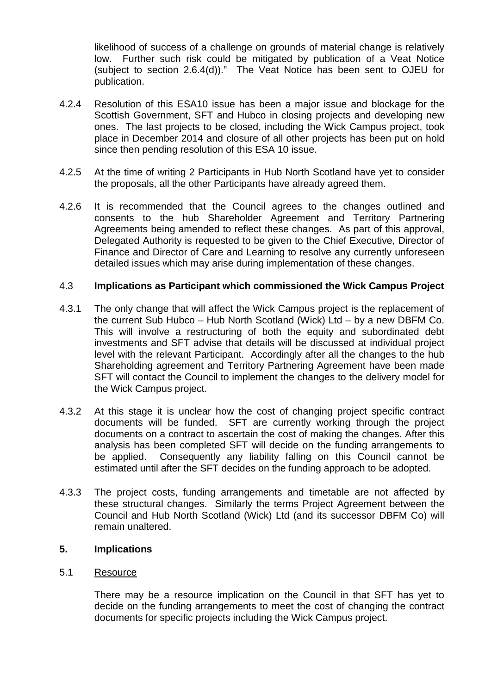likelihood of success of a challenge on grounds of material change is relatively low. Further such risk could be mitigated by publication of a Veat Notice (subject to section 2.6.4(d))." The Veat Notice has been sent to OJEU for publication.

- 4.2.4 Resolution of this ESA10 issue has been a major issue and blockage for the Scottish Government, SFT and Hubco in closing projects and developing new ones. The last projects to be closed, including the Wick Campus project, took place in December 2014 and closure of all other projects has been put on hold since then pending resolution of this ESA 10 issue.
- 4.2.5 At the time of writing 2 Participants in Hub North Scotland have yet to consider the proposals, all the other Participants have already agreed them.
- 4.2.6 It is recommended that the Council agrees to the changes outlined and consents to the hub Shareholder Agreement and Territory Partnering Agreements being amended to reflect these changes. As part of this approval, Delegated Authority is requested to be given to the Chief Executive, Director of Finance and Director of Care and Learning to resolve any currently unforeseen detailed issues which may arise during implementation of these changes.

#### 4.3 **Implications as Participant which commissioned the Wick Campus Project**

- 4.3.1 The only change that will affect the Wick Campus project is the replacement of the current Sub Hubco – Hub North Scotland (Wick) Ltd – by a new DBFM Co. This will involve a restructuring of both the equity and subordinated debt investments and SFT advise that details will be discussed at individual project level with the relevant Participant. Accordingly after all the changes to the hub Shareholding agreement and Territory Partnering Agreement have been made SFT will contact the Council to implement the changes to the delivery model for the Wick Campus project.
- 4.3.2 At this stage it is unclear how the cost of changing project specific contract documents will be funded. SFT are currently working through the project documents on a contract to ascertain the cost of making the changes. After this analysis has been completed SFT will decide on the funding arrangements to be applied. Consequently any liability falling on this Council cannot be estimated until after the SFT decides on the funding approach to be adopted.
- 4.3.3 The project costs, funding arrangements and timetable are not affected by these structural changes. Similarly the terms Project Agreement between the Council and Hub North Scotland (Wick) Ltd (and its successor DBFM Co) will remain unaltered.

#### **5. Implications**

#### 5.1 Resource

There may be a resource implication on the Council in that SFT has yet to decide on the funding arrangements to meet the cost of changing the contract documents for specific projects including the Wick Campus project.